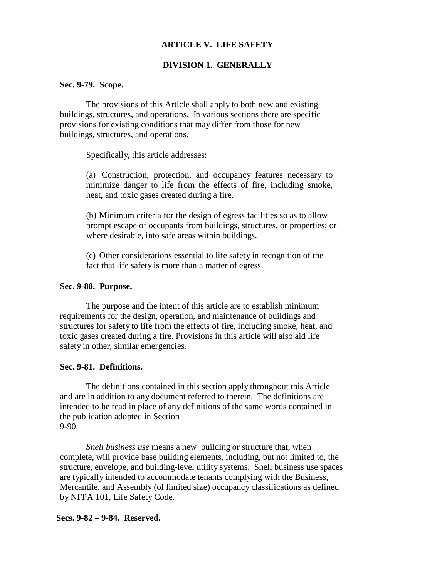# **ARTICLE V. LIFE SAFETY**

# **DIVISION 1. GENERALLY**

#### **Sec. 9-79. Scope.**

The provisions of this Article shall apply to both new and existing buildings, structures, and operations. In various sections there are specific provisions for existing conditions that may differ from those for new buildings, structures, and operations.

Specifically, this article addresses:

(a) Construction, protection, and occupancy features necessary to minimize danger to life from the effects of fire, including smoke, heat, and toxic gases created during a fire.

(b) Minimum criteria for the design of egress facilities so as to allow prompt escape of occupants from buildings, structures, or properties; or where desirable, into safe areas within buildings.

(c) Other considerations essential to life safety in recognition of the fact that life safety is more than a matter of egress.

## **Sec. 9-80. Purpose.**

The purpose and the intent of this article are to establish minimum requirements for the design, operation, and maintenance of buildings and structures for safety to life from the effects of fire, including smoke, heat, and toxic gases created during a fire. Provisions in this article will also aid life safety in other, similar emergencies.

### **Sec. 9-81. Definitions.**

The definitions contained in this section apply throughout this Article and are in addition to any document referred to therein. The definitions are intended to be read in place of any definitions of the same words contained in the publication adopted in Section 9-90.

*Shell business use* means a new building or structure that, when complete, will provide base building elements, including, but not limited to, the structure, envelope, and building-level utility systems. Shell business use spaces are typically intended to accommodate tenants complying with the Business, Mercantile, and Assembly (of limited size) occupancy classifications as defined by NFPA 101, Life Safety Code.

### **Secs. 9-82 – 9-84. Reserved.**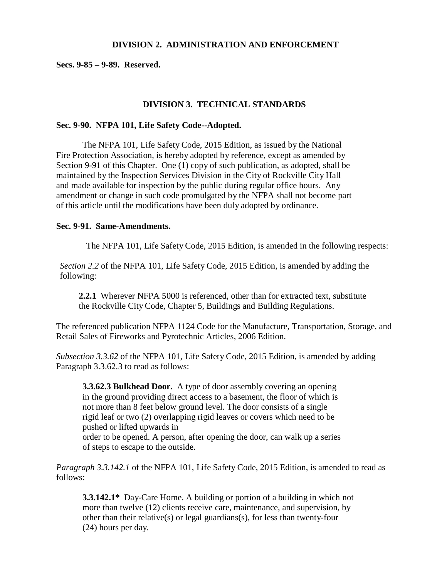### **DIVISION 2. ADMINISTRATION AND ENFORCEMENT**

**Secs. 9-85 – 9-89. Reserved.**

# **DIVISION 3. TECHNICAL STANDARDS**

### **Sec. 9-90. NFPA 101, Life Safety Code--Adopted.**

The NFPA 101, Life Safety Code, 2015 Edition, as issued by the National Fire Protection Association, is hereby adopted by reference, except as amended by Section 9-91 of this Chapter. One (1) copy of such publication, as adopted, shall be maintained by the Inspection Services Division in the City of Rockville City Hall and made available for inspection by the public during regular office hours. Any amendment or change in such code promulgated by the NFPA shall not become part of this article until the modifications have been duly adopted by ordinance.

### **Sec. 9-91. Same-Amendments.**

The NFPA 101, Life Safety Code, 2015 Edition, is amended in the following respects:

*Section 2.2* of the NFPA 101, Life Safety Code, 2015 Edition, is amended by adding the following:

**2.2.1** Wherever NFPA 5000 is referenced, other than for extracted text, substitute the Rockville City Code, Chapter 5, Buildings and Building Regulations.

The referenced publication NFPA 1124 Code for the Manufacture, Transportation, Storage, and Retail Sales of Fireworks and Pyrotechnic Articles, 2006 Edition.

*Subsection 3.3.62* of the NFPA 101, Life Safety Code, 2015 Edition, is amended by adding Paragraph 3.3.62.3 to read as follows:

**3.3.62.3 Bulkhead Door.** A type of door assembly covering an opening in the ground providing direct access to a basement, the floor of which is not more than 8 feet below ground level. The door consists of a single rigid leaf or two (2) overlapping rigid leaves or covers which need to be pushed or lifted upwards in order to be opened. A person, after opening the door, can walk up a series of steps to escape to the outside.

*Paragraph 3.3.142.1* of the NFPA 101, Life Safety Code, 2015 Edition, is amended to read as follows:

**3.3.142.1\*** Day-Care Home. A building or portion of a building in which not more than twelve (12) clients receive care, maintenance, and supervision, by other than their relative(s) or legal guardians(s), for less than twenty-four (24) hours per day.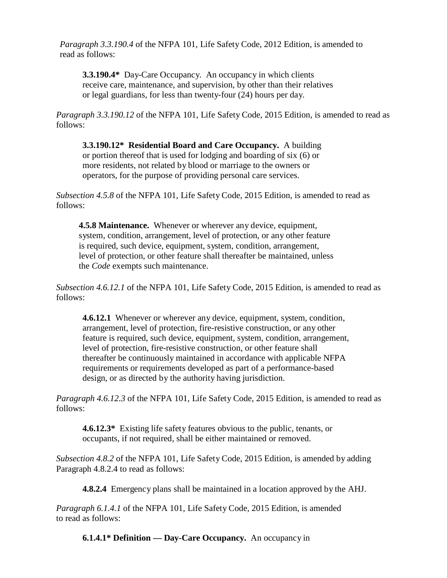*Paragraph 3.3.190.4* of the NFPA 101, Life Safety Code, 2012 Edition, is amended to read as follows:

**3.3.190.4\*** Day-Care Occupancy. An occupancy in which clients receive care, maintenance, and supervision, by other than their relatives or legal guardians, for less than twenty-four (24) hours per day.

*Paragraph 3.3.190.12* of the NFPA 101, Life Safety Code, 2015 Edition, is amended to read as follows:

**3.3.190.12\* Residential Board and Care Occupancy.** A building or portion thereof that is used for lodging and boarding of six (6) or more residents, not related by blood or marriage to the owners or operators, for the purpose of providing personal care services.

*Subsection 4.5.8* of the NFPA 101, Life Safety Code, 2015 Edition, is amended to read as follows:

**4.5.8 Maintenance.** Whenever or wherever any device, equipment, system, condition, arrangement, level of protection, or any other feature is required, such device, equipment, system, condition, arrangement, level of protection, or other feature shall thereafter be maintained, unless the *Code* exempts such maintenance.

*Subsection 4.6.12.1* of the NFPA 101, Life Safety Code, 2015 Edition, is amended to read as follows:

**4.6.12.1** Whenever or wherever any device, equipment, system, condition, arrangement, level of protection, fire-resistive construction, or any other feature is required, such device, equipment, system, condition, arrangement, level of protection, fire-resistive construction, or other feature shall thereafter be continuously maintained in accordance with applicable NFPA requirements or requirements developed as part of a performance-based design, or as directed by the authority having jurisdiction.

*Paragraph 4.6.12.3* of the NFPA 101, Life Safety Code, 2015 Edition, is amended to read as follows:

**4.6.12.3\*** Existing life safety features obvious to the public, tenants, or occupants, if not required, shall be either maintained or removed.

*Subsection 4.8.2* of the NFPA 101, Life Safety Code, 2015 Edition, is amended by adding Paragraph 4.8.2.4 to read as follows:

**4.8.2.4** Emergency plans shall be maintained in a location approved by the AHJ.

*Paragraph 6.1.4.1* of the NFPA 101, Life Safety Code, 2015 Edition, is amended to read as follows:

**6.1.4.1\* Definition — Day-Care Occupancy.** An occupancy in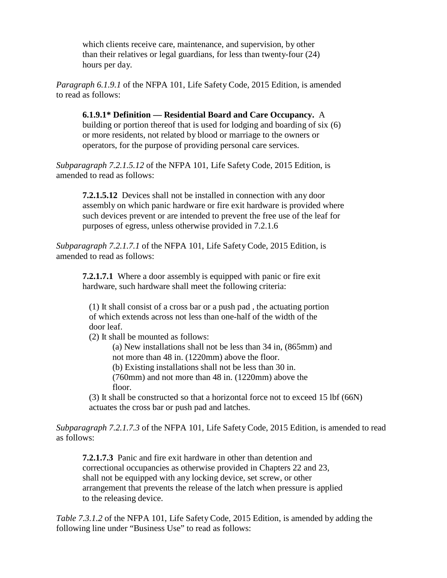which clients receive care, maintenance, and supervision, by other than their relatives or legal guardians, for less than twenty-four (24) hours per day.

*Paragraph 6.1.9.1* of the NFPA 101, Life Safety Code, 2015 Edition, is amended to read as follows:

**6.1.9.1\* Definition — Residential Board and Care Occupancy.** A building or portion thereof that is used for lodging and boarding of six (6) or more residents, not related by blood or marriage to the owners or operators, for the purpose of providing personal care services.

*Subparagraph 7.2.1.5.12* of the NFPA 101, Life Safety Code, 2015 Edition, is amended to read as follows:

**7.2.1.5.12** Devices shall not be installed in connection with any door assembly on which panic hardware or fire exit hardware is provided where such devices prevent or are intended to prevent the free use of the leaf for purposes of egress, unless otherwise provided in 7.2.1.6

*Subparagraph 7.2.1.7.1* of the NFPA 101, Life Safety Code, 2015 Edition, is amended to read as follows:

**7.2.1.7.1** Where a door assembly is equipped with panic or fire exit hardware, such hardware shall meet the following criteria:

(1) It shall consist of a cross bar or a push pad , the actuating portion of which extends across not less than one-half of the width of the door leaf.

(2) It shall be mounted as follows:

(a) New installations shall not be less than 34 in, (865mm) and not more than 48 in. (1220mm) above the floor.

(b) Existing installations shall not be less than 30 in.

(760mm) and not more than 48 in. (1220mm) above the floor.

(3) It shall be constructed so that a horizontal force not to exceed 15 lbf (66N) actuates the cross bar or push pad and latches.

*Subparagraph 7.2.1.7.3* of the NFPA 101, Life Safety Code, 2015 Edition, is amended to read as follows:

**7.2.1.7.3** Panic and fire exit hardware in other than detention and correctional occupancies as otherwise provided in Chapters 22 and 23, shall not be equipped with any locking device, set screw, or other arrangement that prevents the release of the latch when pressure is applied to the releasing device.

*Table 7.3.1.2* of the NFPA 101, Life Safety Code, 2015 Edition, is amended by adding the following line under "Business Use" to read as follows: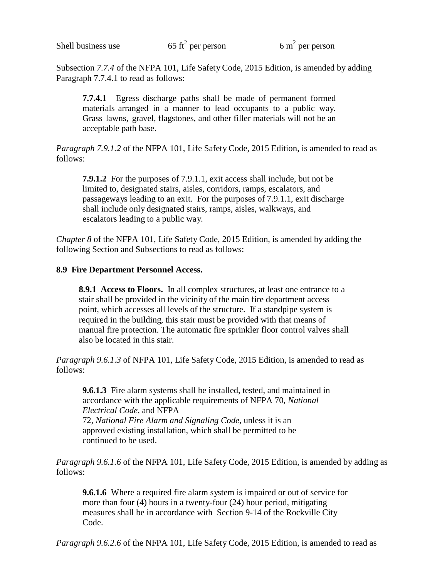Subsection *7.7.4* of the NFPA 101, Life Safety Code, 2015 Edition, is amended by adding Paragraph 7.7.4.1 to read as follows:

**7.7.4.1** Egress discharge paths shall be made of permanent formed materials arranged in a manner to lead occupants to a public way. Grass lawns, gravel, flagstones, and other filler materials will not be an acceptable path base.

*Paragraph 7.9.1.2* of the NFPA 101, Life Safety Code, 2015 Edition, is amended to read as follows:

**7.9.1.2** For the purposes of 7.9.1.1, exit access shall include, but not be limited to, designated stairs, aisles, corridors, ramps, escalators, and passageways leading to an exit. For the purposes of 7.9.1.1, exit discharge shall include only designated stairs, ramps, aisles, walkways, and escalators leading to a public way.

*Chapter 8* of the NFPA 101, Life Safety Code, 2015 Edition, is amended by adding the following Section and Subsections to read as follows:

## **8.9 Fire Department Personnel Access.**

**8.9.1 Access to Floors.** In all complex structures, at least one entrance to a stair shall be provided in the vicinity of the main fire department access point, which accesses all levels of the structure. If a standpipe system is required in the building, this stair must be provided with that means of manual fire protection. The automatic fire sprinkler floor control valves shall also be located in this stair.

*Paragraph 9.6.1.3* of NFPA 101, Life Safety Code, 2015 Edition, is amended to read as follows:

**9.6.1.3** Fire alarm systems shall be installed, tested, and maintained in accordance with the applicable requirements of NFPA 70, *National Electrical Code*, and NFPA 72, *National Fire Alarm and Signaling Code*, unless it is an approved existing installation, which shall be permitted to be continued to be used.

*Paragraph 9.6.1.6* of the NFPA 101, Life Safety Code, 2015 Edition, is amended by adding as follows:

**9.6.1.6** Where a required fire alarm system is impaired or out of service for more than four (4) hours in a twenty-four (24) hour period, mitigating measures shall be in accordance with Section 9-14 of the Rockville City Code.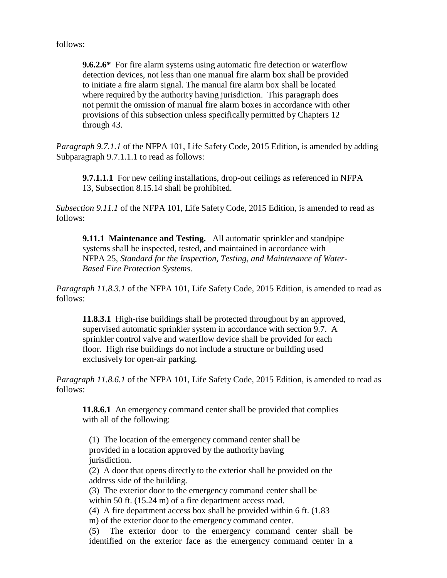follows:

**9.6.2.6\*** For fire alarm systems using automatic fire detection or waterflow detection devices, not less than one manual fire alarm box shall be provided to initiate a fire alarm signal. The manual fire alarm box shall be located where required by the authority having jurisdiction. This paragraph does not permit the omission of manual fire alarm boxes in accordance with other provisions of this subsection unless specifically permitted by Chapters 12 through 43.

*Paragraph 9.7.1.1* of the NFPA 101, Life Safety Code, 2015 Edition, is amended by adding Subparagraph 9.7.1.1.1 to read as follows:

**9.7.1.1.1** For new ceiling installations, drop-out ceilings as referenced in NFPA 13, Subsection 8.15.14 shall be prohibited.

*Subsection 9.11.1* of the NFPA 101, Life Safety Code, 2015 Edition, is amended to read as follows:

**9.11.1 Maintenance and Testing.** All automatic sprinkler and standpipe systems shall be inspected, tested, and maintained in accordance with NFPA 25, *Standard for the Inspection, Testing, and Maintenance of Water-Based Fire Protection Systems*.

*Paragraph 11.8.3.1* of the NFPA 101, Life Safety Code, 2015 Edition, is amended to read as follows:

**11.8.3.1** High-rise buildings shall be protected throughout by an approved, supervised automatic sprinkler system in accordance with section 9.7. A sprinkler control valve and waterflow device shall be provided for each floor. High rise buildings do not include a structure or building used exclusively for open-air parking.

*Paragraph 11.8.6.1* of the NFPA 101, Life Safety Code, 2015 Edition, is amended to read as follows:

**11.8.6.1** An emergency command center shall be provided that complies with all of the following:

(1) The location of the emergency command center shall be provided in a location approved by the authority having jurisdiction.

(2) A door that opens directly to the exterior shall be provided on the address side of the building.

(3) The exterior door to the emergency command center shall be within 50 ft. (15.24 m) of a fire department access road.

(4) A fire department access box shall be provided within 6 ft. (1.83

m) of the exterior door to the emergency command center.

(5) The exterior door to the emergency command center shall be identified on the exterior face as the emergency command center in a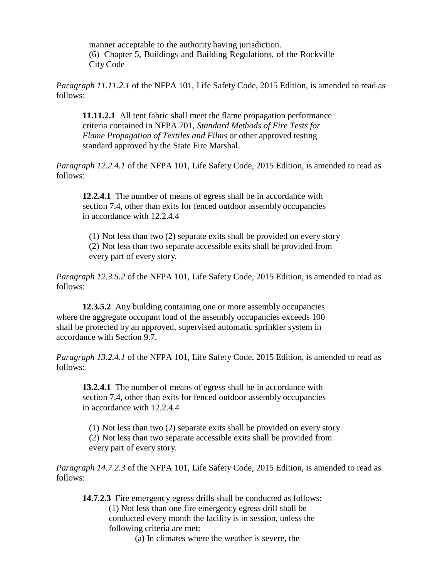manner acceptable to the authority having jurisdiction. (6) Chapter 5, Buildings and Building Regulations, of the Rockville City Code

*Paragraph 11.11.2.1* of the NFPA 101, Life Safety Code, 2015 Edition, is amended to read as follows:

**11.11.2.1** All tent fabric shall meet the flame propagation performance criteria contained in NFPA 701, *Standard Methods of Fire Tests for Flame Propagation of Textiles and Films* or other approved testing standard approved by the State Fire Marshal.

*Paragraph 12.2.4.1* of the NFPA 101, Life Safety Code, 2015 Edition, is amended to read as follows:

**12.2.4.1** The number of means of egress shall be in accordance with section 7.4, other than exits for fenced outdoor assembly occupancies in accordance with 12.2.4.4

(1) Not less than two (2) separate exits shall be provided on every story (2) Not less than two separate accessible exits shall be provided from every part of every story.

*Paragraph 12.3.5.2* of the NFPA 101, Life Safety Code, 2015 Edition, is amended to read as follows:

**12.3.5.2** Any building containing one or more assembly occupancies where the aggregate occupant load of the assembly occupancies exceeds 100 shall be protected by an approved, supervised automatic sprinkler system in accordance with Section 9.7.

*Paragraph 13.2.4.1* of the NFPA 101, Life Safety Code, 2015 Edition, is amended to read as follows:

**13.2.4.1** The number of means of egress shall be in accordance with section 7.4, other than exits for fenced outdoor assembly occupancies in accordance with 12.2.4.4

(1) Not less than two (2) separate exits shall be provided on every story (2) Not less than two separate accessible exits shall be provided from every part of every story.

*Paragraph 14.7.2.3* of the NFPA 101, Life Safety Code, 2015 Edition, is amended to read as follows:

**14.7.2.3** Fire emergency egress drills shall be conducted as follows: (1) Not less than one fire emergency egress drill shall be conducted every month the facility is in session, unless the following criteria are met:

(a) In climates where the weather is severe, the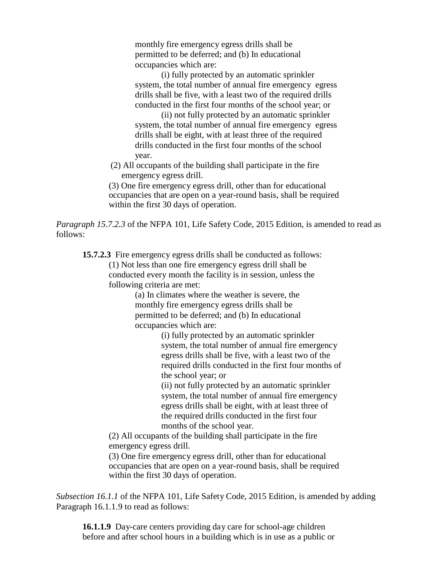monthly fire emergency egress drills shall be permitted to be deferred; and (b) In educational occupancies which are:

(i) fully protected by an automatic sprinkler system, the total number of annual fire emergency egress drills shall be five, with a least two of the required drills conducted in the first four months of the school year; or

(ii) not fully protected by an automatic sprinkler system, the total number of annual fire emergency egress drills shall be eight, with at least three of the required drills conducted in the first four months of the school year.

(2) All occupants of the building shall participate in the fire emergency egress drill.

(3) One fire emergency egress drill, other than for educational occupancies that are open on a year-round basis, shall be required within the first 30 days of operation.

*Paragraph 15.7.2.3* of the NFPA 101, Life Safety Code, 2015 Edition, is amended to read as follows:

**15.7.2.3** Fire emergency egress drills shall be conducted as follows: (1) Not less than one fire emergency egress drill shall be conducted every month the facility is in session, unless the following criteria are met:

> (a) In climates where the weather is severe, the monthly fire emergency egress drills shall be permitted to be deferred; and (b) In educational occupancies which are:

> > (i) fully protected by an automatic sprinkler system, the total number of annual fire emergency egress drills shall be five, with a least two of the required drills conducted in the first four months of the school year; or

(ii) not fully protected by an automatic sprinkler system, the total number of annual fire emergency egress drills shall be eight, with at least three of the required drills conducted in the first four months of the school year.

(2) All occupants of the building shall participate in the fire emergency egress drill.

(3) One fire emergency egress drill, other than for educational occupancies that are open on a year-round basis, shall be required within the first 30 days of operation.

*Subsection 16.1.1* of the NFPA 101, Life Safety Code, 2015 Edition, is amended by adding Paragraph 16.1.1.9 to read as follows:

**16.1.1.9** Day-care centers providing day care for school-age children before and after school hours in a building which is in use as a public or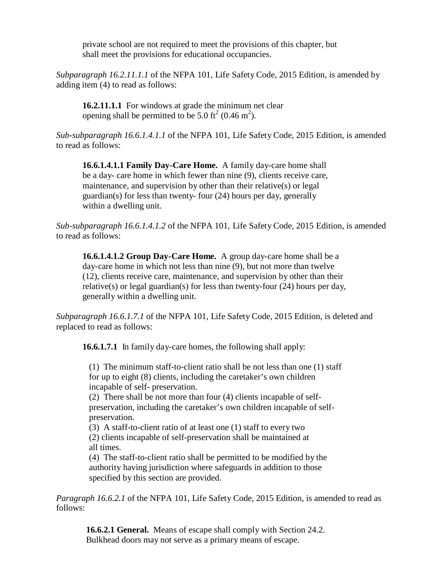private school are not required to meet the provisions of this chapter, but shall meet the provisions for educational occupancies.

*Subparagraph 16.2.11.1.1* of the NFPA 101, Life Safety Code, 2015 Edition, is amended by adding item (4) to read as follows:

**16.2.11.1.1** For windows at grade the minimum net clear opening shall be permitted to be 5.0 ft<sup>2</sup> (0.46 m<sup>2</sup>).

*Sub-subparagraph 16.6.1.4.1.1* of the NFPA 101, Life Safety Code, 2015 Edition, is amended to read as follows:

**16.6.1.4.1.1 Family Day-Care Home.** A family day-care home shall be a day- care home in which fewer than nine (9), clients receive care, maintenance, and supervision by other than their relative(s) or legal guardian(s) for less than twenty- four (24) hours per day, generally within a dwelling unit.

*Sub-subparagraph 16.6.1.4.1.2* of the NFPA 101, Life Safety Code, 2015 Edition, is amended to read as follows:

**16.6.1.4.1.2 Group Day-Care Home.** A group day-care home shall be a day-care home in which not less than nine (9), but not more than twelve (12), clients receive care, maintenance, and supervision by other than their relative(s) or legal guardian(s) for less than twenty-four (24) hours per day, generally within a dwelling unit.

*Subparagraph 16.6.1.7.1* of the NFPA 101, Life Safety Code, 2015 Edition, is deleted and replaced to read as follows:

**16.6.1.7.1** In family day-care homes, the following shall apply:

(1) The minimum staff-to-client ratio shall be not less than one (1) staff for up to eight (8) clients, including the caretaker's own children incapable of self- preservation.

(2) There shall be not more than four (4) clients incapable of selfpreservation, including the caretaker's own children incapable of selfpreservation.

(3) A staff-to-client ratio of at least one (1) staff to every two (2) clients incapable of self-preservation shall be maintained at all times.

(4) The staff-to-client ratio shall be permitted to be modified by the authority having jurisdiction where safeguards in addition to those specified by this section are provided.

*Paragraph 16.6.2.1* of the NFPA 101, Life Safety Code, 2015 Edition, is amended to read as follows:

**16.6.2.1 General.** Means of escape shall comply with Section 24.2. Bulkhead doors may not serve as a primary means of escape.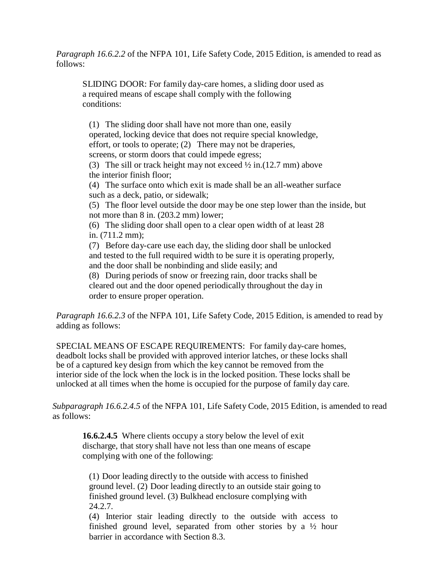*Paragraph 16.6.2.2* of the NFPA 101, Life Safety Code, 2015 Edition, is amended to read as follows:

SLIDING DOOR: For family day-care homes, a sliding door used as a required means of escape shall comply with the following conditions:

(1) The sliding door shall have not more than one, easily operated, locking device that does not require special knowledge, effort, or tools to operate; (2) There may not be draperies, screens, or storm doors that could impede egress; (3) The sill or track height may not exceed  $\frac{1}{2}$  in.(12.7 mm) above the interior finish floor; (4) The surface onto which exit is made shall be an all-weather surface such as a deck, patio, or sidewalk; (5) The floor level outside the door may be one step lower than the inside, but not more than 8 in. (203.2 mm) lower; (6) The sliding door shall open to a clear open width of at least 28 in. (711.2 mm); (7) Before day-care use each day, the sliding door shall be unlocked and tested to the full required width to be sure it is operating properly, and the door shall be nonbinding and slide easily; and (8) During periods of snow or freezing rain, door tracks shall be cleared out and the door opened periodically throughout the day in order to ensure proper operation.

*Paragraph 16.6.2.3* of the NFPA 101, Life Safety Code, 2015 Edition, is amended to read by adding as follows:

SPECIAL MEANS OF ESCAPE REQUIREMENTS: For family day-care homes, deadbolt locks shall be provided with approved interior latches, or these locks shall be of a captured key design from which the key cannot be removed from the interior side of the lock when the lock is in the locked position. These locks shall be unlocked at all times when the home is occupied for the purpose of family day care.

*Subparagraph 16.6.2.4.5* of the NFPA 101, Life Safety Code, 2015 Edition, is amended to read as follows:

**16.6.2.4.5** Where clients occupy a story below the level of exit discharge, that story shall have not less than one means of escape complying with one of the following:

(1) Door leading directly to the outside with access to finished ground level. (2) Door leading directly to an outside stair going to finished ground level. (3) Bulkhead enclosure complying with 24.2.7.

(4) Interior stair leading directly to the outside with access to finished ground level, separated from other stories by a ½ hour barrier in accordance with Section 8.3.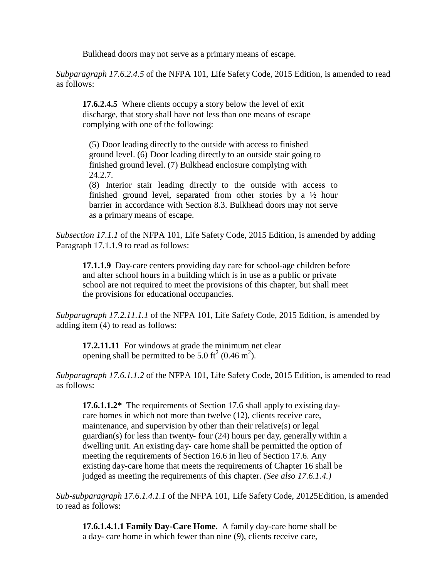Bulkhead doors may not serve as a primary means of escape.

*Subparagraph 17.6.2.4.5* of the NFPA 101, Life Safety Code, 2015 Edition, is amended to read as follows:

**17.6.2.4.5** Where clients occupy a story below the level of exit discharge, that story shall have not less than one means of escape complying with one of the following:

(5) Door leading directly to the outside with access to finished ground level. (6) Door leading directly to an outside stair going to finished ground level. (7) Bulkhead enclosure complying with 24.2.7.

(8) Interior stair leading directly to the outside with access to finished ground level, separated from other stories by a ½ hour barrier in accordance with Section 8.3. Bulkhead doors may not serve as a primary means of escape.

*Subsection 17.1.1* of the NFPA 101, Life Safety Code, 2015 Edition, is amended by adding Paragraph 17.1.1.9 to read as follows:

**17.1.1.9** Day-care centers providing day care for school-age children before and after school hours in a building which is in use as a public or private school are not required to meet the provisions of this chapter, but shall meet the provisions for educational occupancies.

*Subparagraph 17.2.11.1.1* of the NFPA 101, Life Safety Code, 2015 Edition, is amended by adding item (4) to read as follows:

**17.2.11.11** For windows at grade the minimum net clear opening shall be permitted to be 5.0 ft<sup>2</sup> (0.46 m<sup>2</sup>).

*Subparagraph 17.6.1.1.2* of the NFPA 101, Life Safety Code, 2015 Edition, is amended to read as follows:

**17.6.1.1.2\*** The requirements of Section 17.6 shall apply to existing daycare homes in which not more than twelve (12), clients receive care, maintenance, and supervision by other than their relative(s) or legal guardian(s) for less than twenty- four (24) hours per day, generally within a dwelling unit. An existing day- care home shall be permitted the option of meeting the requirements of Section 16.6 in lieu of Section 17.6. Any existing day-care home that meets the requirements of Chapter 16 shall be judged as meeting the requirements of this chapter. *(See also 17.6.1.4.)*

*Sub-subparagraph 17.6.1.4.1.1* of the NFPA 101, Life Safety Code, 20125Edition, is amended to read as follows:

**17.6.1.4.1.1 Family Day-Care Home.** A family day-care home shall be a day- care home in which fewer than nine (9), clients receive care,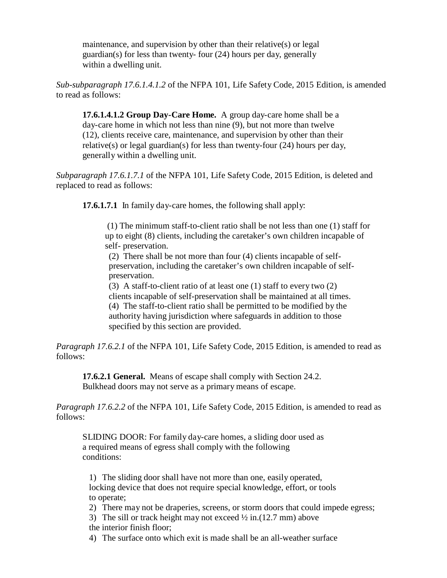maintenance, and supervision by other than their relative(s) or legal guardian(s) for less than twenty- four (24) hours per day, generally within a dwelling unit.

*Sub-subparagraph 17.6.1.4.1.2* of the NFPA 101, Life Safety Code, 2015 Edition, is amended to read as follows:

**17.6.1.4.1.2 Group Day-Care Home.** A group day-care home shall be a day-care home in which not less than nine (9), but not more than twelve (12), clients receive care, maintenance, and supervision by other than their relative(s) or legal guardian(s) for less than twenty-four (24) hours per day, generally within a dwelling unit.

*Subparagraph 17.6.1.7.1* of the NFPA 101, Life Safety Code, 2015 Edition, is deleted and replaced to read as follows:

**17.6.1.7.1** In family day-care homes, the following shall apply:

(1) The minimum staff-to-client ratio shall be not less than one (1) staff for up to eight (8) clients, including the caretaker's own children incapable of self- preservation.

(2) There shall be not more than four (4) clients incapable of selfpreservation, including the caretaker's own children incapable of selfpreservation.

(3) A staff-to-client ratio of at least one (1) staff to every two (2) clients incapable of self-preservation shall be maintained at all times. (4) The staff-to-client ratio shall be permitted to be modified by the authority having jurisdiction where safeguards in addition to those specified by this section are provided.

*Paragraph 17.6.2.1* of the NFPA 101, Life Safety Code, 2015 Edition, is amended to read as follows:

**17.6.2.1 General.** Means of escape shall comply with Section 24.2. Bulkhead doors may not serve as a primary means of escape.

*Paragraph 17.6.2.2* of the NFPA 101, Life Safety Code, 2015 Edition, is amended to read as follows:

SLIDING DOOR: For family day-care homes, a sliding door used as a required means of egress shall comply with the following conditions:

1) The sliding door shall have not more than one, easily operated, locking device that does not require special knowledge, effort, or tools to operate;

2) There may not be draperies, screens, or storm doors that could impede egress;

3) The sill or track height may not exceed  $\frac{1}{2}$  in.(12.7 mm) above the interior finish floor;

4) The surface onto which exit is made shall be an all-weather surface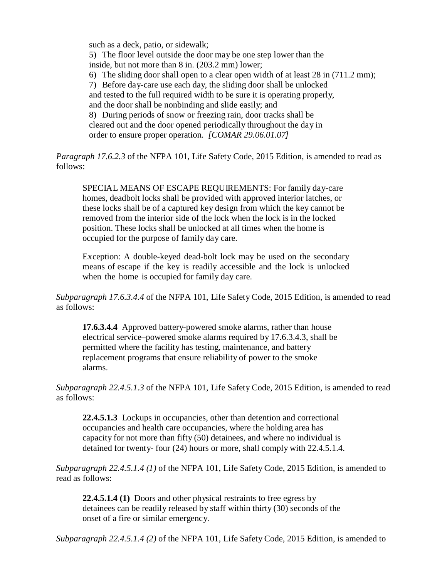such as a deck, patio, or sidewalk;

5) The floor level outside the door may be one step lower than the inside, but not more than 8 in. (203.2 mm) lower;

6) The sliding door shall open to a clear open width of at least 28 in (711.2 mm);

7) Before day-care use each day, the sliding door shall be unlocked

and tested to the full required width to be sure it is operating properly, and the door shall be nonbinding and slide easily; and

8) During periods of snow or freezing rain, door tracks shall be cleared out and the door opened periodically throughout the day in order to ensure proper operation. *[COMAR 29.06.01.07]*

*Paragraph 17.6.2.3* of the NFPA 101, Life Safety Code, 2015 Edition, is amended to read as follows:

SPECIAL MEANS OF ESCAPE REQUIREMENTS: For family day-care homes, deadbolt locks shall be provided with approved interior latches, or these locks shall be of a captured key design from which the key cannot be removed from the interior side of the lock when the lock is in the locked position. These locks shall be unlocked at all times when the home is occupied for the purpose of family day care.

Exception: A double-keyed dead-bolt lock may be used on the secondary means of escape if the key is readily accessible and the lock is unlocked when the home is occupied for family day care.

*Subparagraph 17.6.3.4.4* of the NFPA 101, Life Safety Code, 2015 Edition, is amended to read as follows:

**17.6.3.4.4** Approved battery-powered smoke alarms, rather than house electrical service–powered smoke alarms required by 17.6.3.4.3, shall be permitted where the facility has testing, maintenance, and battery replacement programs that ensure reliability of power to the smoke alarms.

*Subparagraph 22.4.5.1.3* of the NFPA 101, Life Safety Code, 2015 Edition, is amended to read as follows:

**22.4.5.1.3** Lockups in occupancies, other than detention and correctional occupancies and health care occupancies, where the holding area has capacity for not more than fifty (50) detainees, and where no individual is detained for twenty- four (24) hours or more, shall comply with 22.4.5.1.4.

*Subparagraph 22.4.5.1.4 (1)* of the NFPA 101, Life Safety Code, 2015 Edition, is amended to read as follows:

**22.4.5.1.4 (1)** Doors and other physical restraints to free egress by detainees can be readily released by staff within thirty (30) seconds of the onset of a fire or similar emergency.

*Subparagraph 22.4.5.1.4 (2)* of the NFPA 101, Life Safety Code, 2015 Edition, is amended to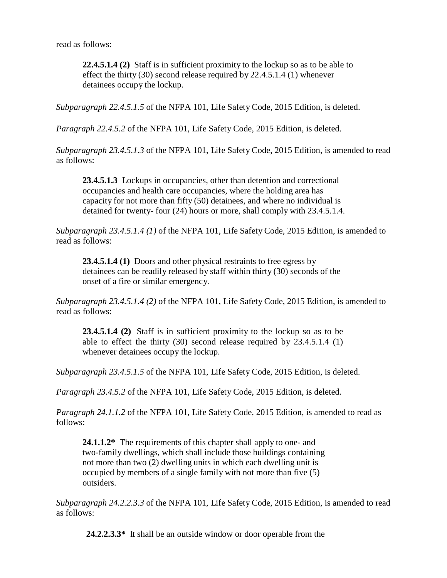read as follows:

**22.4.5.1.4 (2)** Staff is in sufficient proximity to the lockup so as to be able to effect the thirty (30) second release required by 22.4.5.1.4 (1) whenever detainees occupy the lockup.

*Subparagraph 22.4.5.1.5* of the NFPA 101, Life Safety Code, 2015 Edition, is deleted.

*Paragraph 22.4.5.2* of the NFPA 101, Life Safety Code, 2015 Edition, is deleted.

*Subparagraph 23.4.5.1.3* of the NFPA 101, Life Safety Code, 2015 Edition, is amended to read as follows:

**23.4.5.1.3** Lockups in occupancies, other than detention and correctional occupancies and health care occupancies, where the holding area has capacity for not more than fifty (50) detainees, and where no individual is detained for twenty- four (24) hours or more, shall comply with 23.4.5.1.4.

*Subparagraph 23.4.5.1.4 (1)* of the NFPA 101, Life Safety Code, 2015 Edition, is amended to read as follows:

**23.4.5.1.4 (1)** Doors and other physical restraints to free egress by detainees can be readily released by staff within thirty (30) seconds of the onset of a fire or similar emergency.

*Subparagraph 23.4.5.1.4 (2)* of the NFPA 101, Life Safety Code, 2015 Edition, is amended to read as follows:

**23.4.5.1.4 (2)** Staff is in sufficient proximity to the lockup so as to be able to effect the thirty (30) second release required by 23.4.5.1.4 (1) whenever detainees occupy the lockup.

*Subparagraph 23.4.5.1.5* of the NFPA 101, Life Safety Code, 2015 Edition, is deleted.

*Paragraph 23.4.5.2* of the NFPA 101, Life Safety Code, 2015 Edition, is deleted.

*Paragraph 24.1.1.2* of the NFPA 101, Life Safety Code, 2015 Edition, is amended to read as follows:

24.1.1.2<sup>\*</sup> The requirements of this chapter shall apply to one- and two-family dwellings, which shall include those buildings containing not more than two (2) dwelling units in which each dwelling unit is occupied by members of a single family with not more than five (5) outsiders.

*Subparagraph 24.2.2.3.3* of the NFPA 101, Life Safety Code, 2015 Edition, is amended to read as follows:

**24.2.2.3.3\*** It shall be an outside window or door operable from the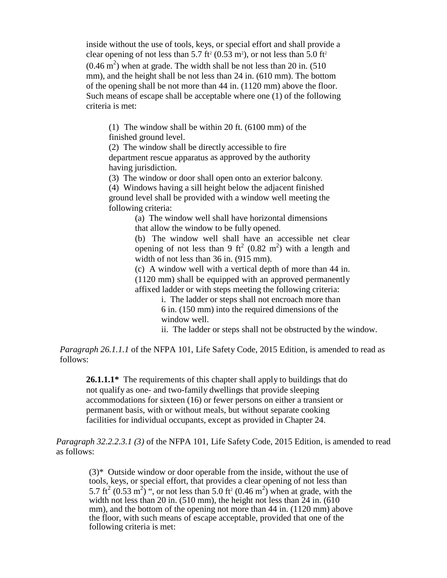inside without the use of tools, keys, or special effort and shall provide a clear opening of not less than  $5.7$  ft<sup>2</sup> (0.53 m<sup>2</sup>), or not less than  $5.0$  ft<sup>2</sup>  $(0.46 \text{ m}^2)$  when at grade. The width shall be not less than 20 in. (510) mm), and the height shall be not less than 24 in. (610 mm). The bottom of the opening shall be not more than 44 in. (1120 mm) above the floor. Such means of escape shall be acceptable where one (1) of the following criteria is met:

(1) The window shall be within 20 ft. (6100 mm) of the finished ground level.

(2) The window shall be directly accessible to fire department rescue apparatus as approved by the authority having jurisdiction.

(3) The window or door shall open onto an exterior balcony.

(4) Windows having a sill height below the adjacent finished ground level shall be provided with a window well meeting the following criteria:

> (a) The window well shall have horizontal dimensions that allow the window to be fully opened.

(b) The window well shall have an accessible net clear opening of not less than 9 ft<sup>2</sup> (0.82 m<sup>2</sup>) with a length and width of not less than 36 in. (915 mm).

(c) A window well with a vertical depth of more than 44 in. (1120 mm) shall be equipped with an approved permanently affixed ladder or with steps meeting the following criteria:

> i. The ladder or steps shall not encroach more than 6 in. (150 mm) into the required dimensions of the window well.

ii. The ladder or steps shall not be obstructed by the window.

*Paragraph 26.1.1.1* of the NFPA 101, Life Safety Code, 2015 Edition, is amended to read as follows:

26.1.1.1<sup>\*</sup> The requirements of this chapter shall apply to buildings that do not qualify as one- and two-family dwellings that provide sleeping accommodations for sixteen (16) or fewer persons on either a transient or permanent basis, with or without meals, but without separate cooking facilities for individual occupants, except as provided in Chapter 24.

*Paragraph 32.2.2.3.1 (3)* of the NFPA 101, Life Safety Code, 2015 Edition, is amended to read as follows:

 $(3)$ <sup>\*</sup> Outside window or door operable from the inside, without the use of tools, keys, or special effort, that provides a clear opening of not less than 5.7 ft<sup>2</sup> (0.53 m<sup>2</sup>) ", or not less than 5.0 ft<sup>2</sup> (0.46 m<sup>2</sup>) when at grade, with the width not less than 20 in. (510 mm), the height not less than 24 in. (610) mm), and the bottom of the opening not more than 44 in. (1120 mm) above the floor, with such means of escape acceptable, provided that one of the following criteria is met: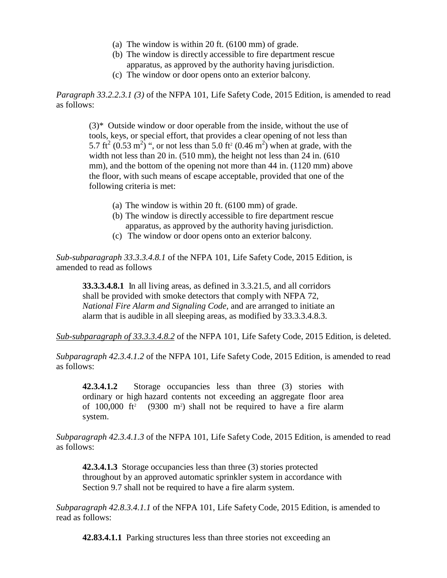- (a) The window is within 20 ft. (6100 mm) of grade.
- (b) The window is directly accessible to fire department rescue apparatus, as approved by the authority having jurisdiction.
- (c) The window or door opens onto an exterior balcony.

*Paragraph 33.2.2.3.1 (3)* of the NFPA 101, Life Safety Code, 2015 Edition, is amended to read as follows:

 $(3)$ <sup>\*</sup> Outside window or door operable from the inside, without the use of tools, keys, or special effort, that provides a clear opening of not less than 5.7 ft<sup>2</sup> (0.53 m<sup>2</sup>) ", or not less than 5.0 ft<sup>2</sup> (0.46 m<sup>2</sup>) when at grade, with the width not less than 20 in. (510 mm), the height not less than 24 in. (610) mm), and the bottom of the opening not more than 44 in. (1120 mm) above the floor, with such means of escape acceptable, provided that one of the following criteria is met:

- (a) The window is within 20 ft. (6100 mm) of grade.
- (b) The window is directly accessible to fire department rescue apparatus, as approved by the authority having jurisdiction.
- (c) The window or door opens onto an exterior balcony.

*Sub-subparagraph 33.3.3.4.8.1* of the NFPA 101, Life Safety Code, 2015 Edition, is amended to read as follows

**33.3.3.4.8.1** In all living areas, as defined in 3.3.21.5, and all corridors shall be provided with smoke detectors that comply with NFPA 72, *National Fire Alarm and Signaling Code,* and are arranged to initiate an alarm that is audible in all sleeping areas, as modified by 33.3.3.4.8.3.

*Sub-subparagraph of 33.3.3.4.8.2* of the NFPA 101, Life Safety Code, 2015 Edition, is deleted.

*Subparagraph 42.3.4.1.2* of the NFPA 101, Life Safety Code, 2015 Edition, is amended to read as follows:

**42.3.4.1.2** Storage occupancies less than three (3) stories with ordinary or high hazard contents not exceeding an aggregate floor area of  $100,000$  ft<sup>2</sup> (9300 m<sup>2</sup>) shall not be required to have a fire alarm system.

*Subparagraph 42.3.4.1.3* of the NFPA 101, Life Safety Code, 2015 Edition, is amended to read as follows:

**42.3.4.1.3** Storage occupancies less than three (3) stories protected throughout by an approved automatic sprinkler system in accordance with Section 9.7 shall not be required to have a fire alarm system.

*Subparagraph 42.8.3.4.1.1* of the NFPA 101, Life Safety Code, 2015 Edition, is amended to read as follows:

**42.83.4.1.1** Parking structures less than three stories not exceeding an